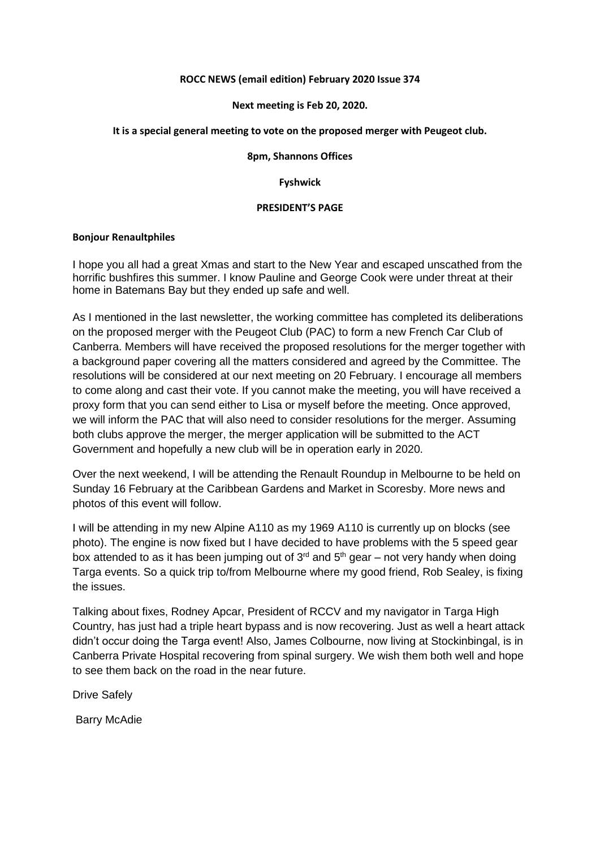## **ROCC NEWS (email edition) February 2020 Issue 374**

#### **Next meeting is Feb 20, 2020.**

### **It is a special general meeting to vote on the proposed merger with Peugeot club.**

**8pm, Shannons Offices**

**Fyshwick**

## **PRESIDENT'S PAGE**

## **Bonjour Renaultphiles**

I hope you all had a great Xmas and start to the New Year and escaped unscathed from the horrific bushfires this summer. I know Pauline and George Cook were under threat at their home in Batemans Bay but they ended up safe and well.

As I mentioned in the last newsletter, the working committee has completed its deliberations on the proposed merger with the Peugeot Club (PAC) to form a new French Car Club of Canberra. Members will have received the proposed resolutions for the merger together with a background paper covering all the matters considered and agreed by the Committee. The resolutions will be considered at our next meeting on 20 February. I encourage all members to come along and cast their vote. If you cannot make the meeting, you will have received a proxy form that you can send either to Lisa or myself before the meeting. Once approved, we will inform the PAC that will also need to consider resolutions for the merger. Assuming both clubs approve the merger, the merger application will be submitted to the ACT Government and hopefully a new club will be in operation early in 2020.

Over the next weekend, I will be attending the Renault Roundup in Melbourne to be held on Sunday 16 February at the Caribbean Gardens and Market in Scoresby. More news and photos of this event will follow.

I will be attending in my new Alpine A110 as my 1969 A110 is currently up on blocks (see photo). The engine is now fixed but I have decided to have problems with the 5 speed gear box attended to as it has been jumping out of  $3<sup>rd</sup>$  and  $5<sup>th</sup>$  gear – not very handy when doing Targa events. So a quick trip to/from Melbourne where my good friend, Rob Sealey, is fixing the issues.

Talking about fixes, Rodney Apcar, President of RCCV and my navigator in Targa High Country, has just had a triple heart bypass and is now recovering. Just as well a heart attack didn't occur doing the Targa event! Also, James Colbourne, now living at Stockinbingal, is in Canberra Private Hospital recovering from spinal surgery. We wish them both well and hope to see them back on the road in the near future.

Drive Safely

Barry McAdie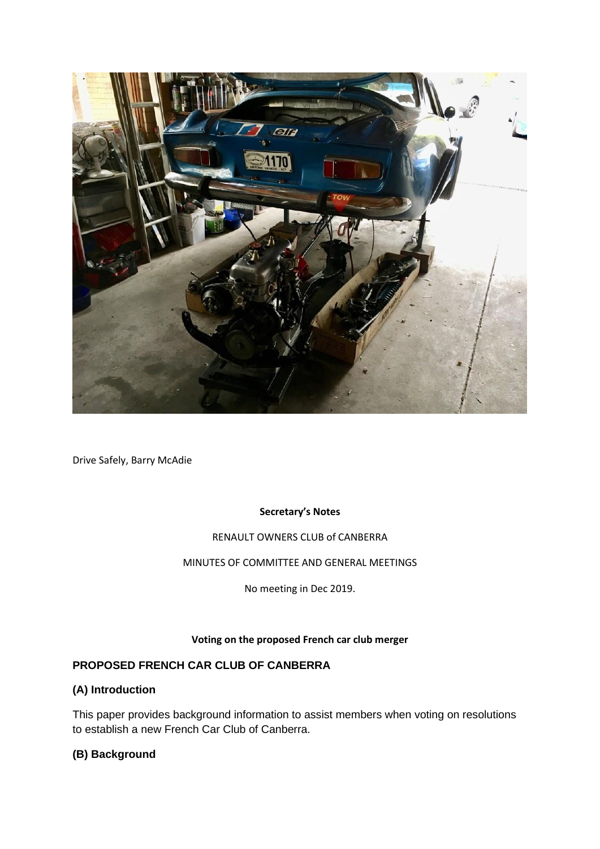

Drive Safely, Barry McAdie

## **Secretary's Notes**

## RENAULT OWNERS CLUB of CANBERRA

## MINUTES OF COMMITTEE AND GENERAL MEETINGS

No meeting in Dec 2019.

## **Voting on the proposed French car club merger**

# **PROPOSED FRENCH CAR CLUB OF CANBERRA**

# **(A) Introduction**

This paper provides background information to assist members when voting on resolutions to establish a new French Car Club of Canberra.

## **(B) Background**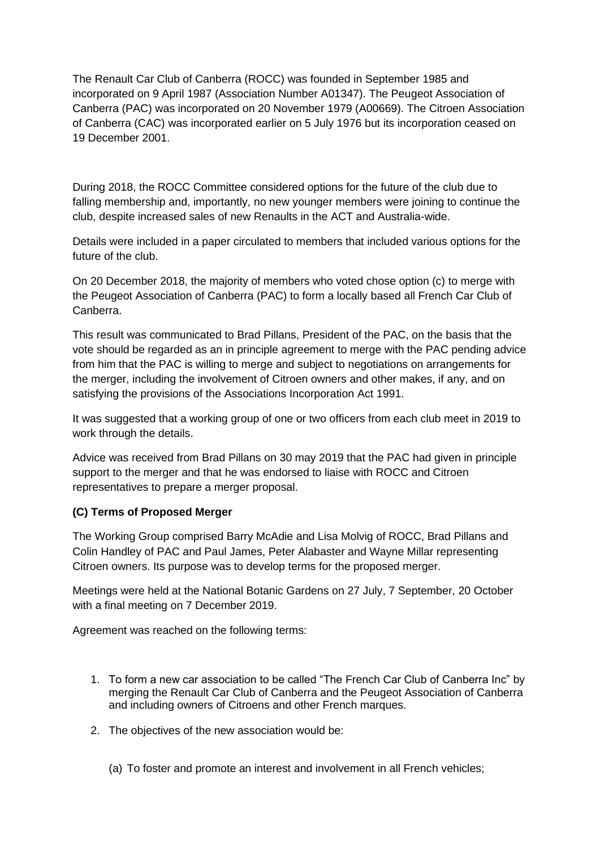The Renault Car Club of Canberra (ROCC) was founded in September 1985 and incorporated on 9 April 1987 (Association Number A01347). The Peugeot Association of Canberra (PAC) was incorporated on 20 November 1979 (A00669). The Citroen Association of Canberra (CAC) was incorporated earlier on 5 July 1976 but its incorporation ceased on 19 December 2001.

During 2018, the ROCC Committee considered options for the future of the club due to falling membership and, importantly, no new younger members were joining to continue the club, despite increased sales of new Renaults in the ACT and Australia-wide.

Details were included in a paper circulated to members that included various options for the future of the club.

On 20 December 2018, the majority of members who voted chose option (c) to merge with the Peugeot Association of Canberra (PAC) to form a locally based all French Car Club of Canberra.

This result was communicated to Brad Pillans, President of the PAC, on the basis that the vote should be regarded as an in principle agreement to merge with the PAC pending advice from him that the PAC is willing to merge and subject to negotiations on arrangements for the merger, including the involvement of Citroen owners and other makes, if any, and on satisfying the provisions of the Associations Incorporation Act 1991.

It was suggested that a working group of one or two officers from each club meet in 2019 to work through the details.

Advice was received from Brad Pillans on 30 may 2019 that the PAC had given in principle support to the merger and that he was endorsed to liaise with ROCC and Citroen representatives to prepare a merger proposal.

## **(C) Terms of Proposed Merger**

The Working Group comprised Barry McAdie and Lisa Molvig of ROCC, Brad Pillans and Colin Handley of PAC and Paul James, Peter Alabaster and Wayne Millar representing Citroen owners. Its purpose was to develop terms for the proposed merger.

Meetings were held at the National Botanic Gardens on 27 July, 7 September, 20 October with a final meeting on 7 December 2019.

Agreement was reached on the following terms:

- 1. To form a new car association to be called "The French Car Club of Canberra Inc" by merging the Renault Car Club of Canberra and the Peugeot Association of Canberra and including owners of Citroens and other French marques.
- 2. The objectives of the new association would be:
	- (a) To foster and promote an interest and involvement in all French vehicles;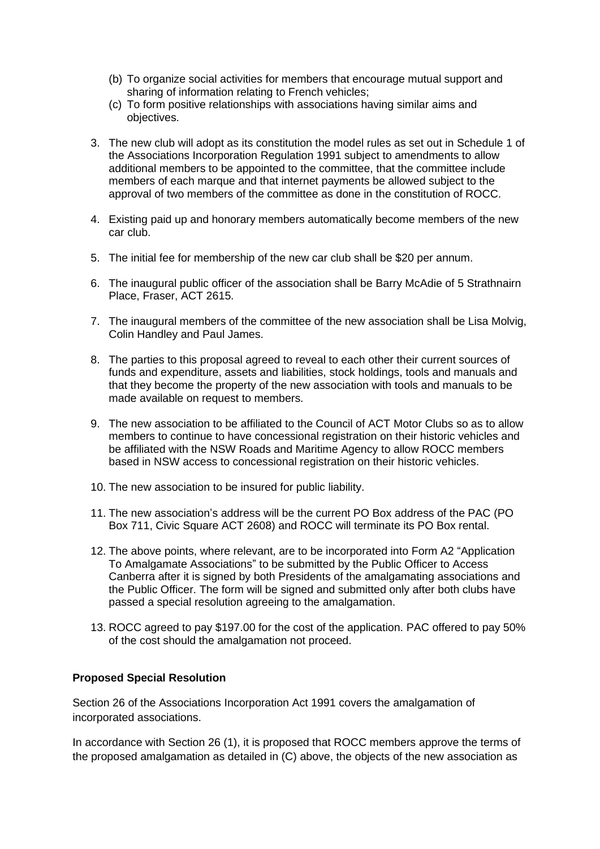- (b) To organize social activities for members that encourage mutual support and sharing of information relating to French vehicles;
- (c) To form positive relationships with associations having similar aims and objectives.
- 3. The new club will adopt as its constitution the model rules as set out in Schedule 1 of the Associations Incorporation Regulation 1991 subject to amendments to allow additional members to be appointed to the committee, that the committee include members of each marque and that internet payments be allowed subject to the approval of two members of the committee as done in the constitution of ROCC.
- 4. Existing paid up and honorary members automatically become members of the new car club.
- 5. The initial fee for membership of the new car club shall be \$20 per annum.
- 6. The inaugural public officer of the association shall be Barry McAdie of 5 Strathnairn Place, Fraser, ACT 2615.
- 7. The inaugural members of the committee of the new association shall be Lisa Molvig, Colin Handley and Paul James.
- 8. The parties to this proposal agreed to reveal to each other their current sources of funds and expenditure, assets and liabilities, stock holdings, tools and manuals and that they become the property of the new association with tools and manuals to be made available on request to members.
- 9. The new association to be affiliated to the Council of ACT Motor Clubs so as to allow members to continue to have concessional registration on their historic vehicles and be affiliated with the NSW Roads and Maritime Agency to allow ROCC members based in NSW access to concessional registration on their historic vehicles.
- 10. The new association to be insured for public liability.
- 11. The new association's address will be the current PO Box address of the PAC (PO Box 711, Civic Square ACT 2608) and ROCC will terminate its PO Box rental.
- 12. The above points, where relevant, are to be incorporated into Form A2 "Application To Amalgamate Associations" to be submitted by the Public Officer to Access Canberra after it is signed by both Presidents of the amalgamating associations and the Public Officer. The form will be signed and submitted only after both clubs have passed a special resolution agreeing to the amalgamation.
- 13. ROCC agreed to pay \$197.00 for the cost of the application. PAC offered to pay 50% of the cost should the amalgamation not proceed.

## **Proposed Special Resolution**

Section 26 of the Associations Incorporation Act 1991 covers the amalgamation of incorporated associations.

In accordance with Section 26 (1), it is proposed that ROCC members approve the terms of the proposed amalgamation as detailed in (C) above, the objects of the new association as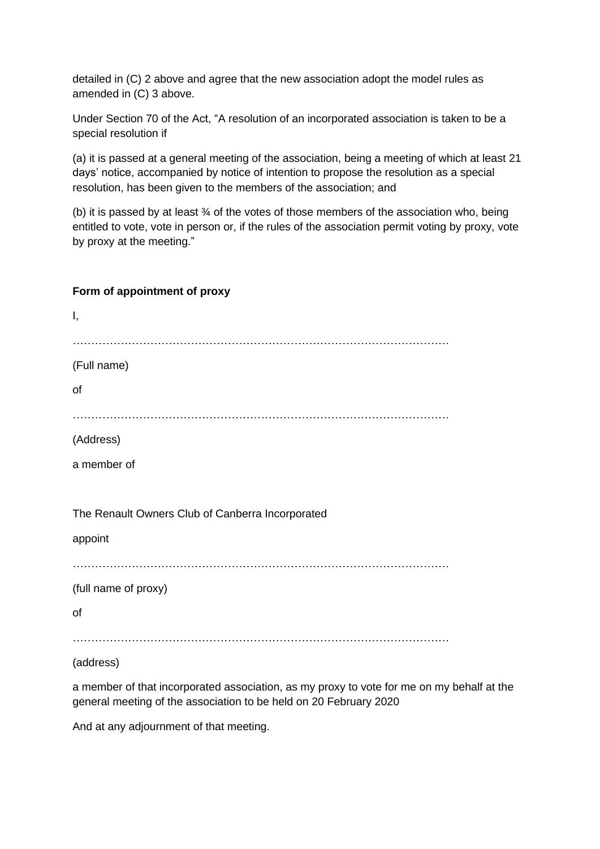detailed in (C) 2 above and agree that the new association adopt the model rules as amended in (C) 3 above.

Under Section 70 of the Act, "A resolution of an incorporated association is taken to be a special resolution if

(a) it is passed at a general meeting of the association, being a meeting of which at least 21 days' notice, accompanied by notice of intention to propose the resolution as a special resolution, has been given to the members of the association; and

(b) it is passed by at least ¾ of the votes of those members of the association who, being entitled to vote, vote in person or, if the rules of the association permit voting by proxy, vote by proxy at the meeting."

# **Form of appointment of proxy**

| Ι,                                                                              |
|---------------------------------------------------------------------------------|
| (Full name)                                                                     |
| of                                                                              |
| (Address)                                                                       |
| a member of                                                                     |
| The Renault Owners Club of Canberra Incorporated<br>appoint                     |
| (full name of proxy)                                                            |
| of                                                                              |
| (address)                                                                       |
| a member of that incorporated association, as my proxy to vote for me on my beh |

a member of that incorporated association, as my proxy to vote for me on my behalf at the general meeting of the association to be held on 20 February 2020

And at any adjournment of that meeting.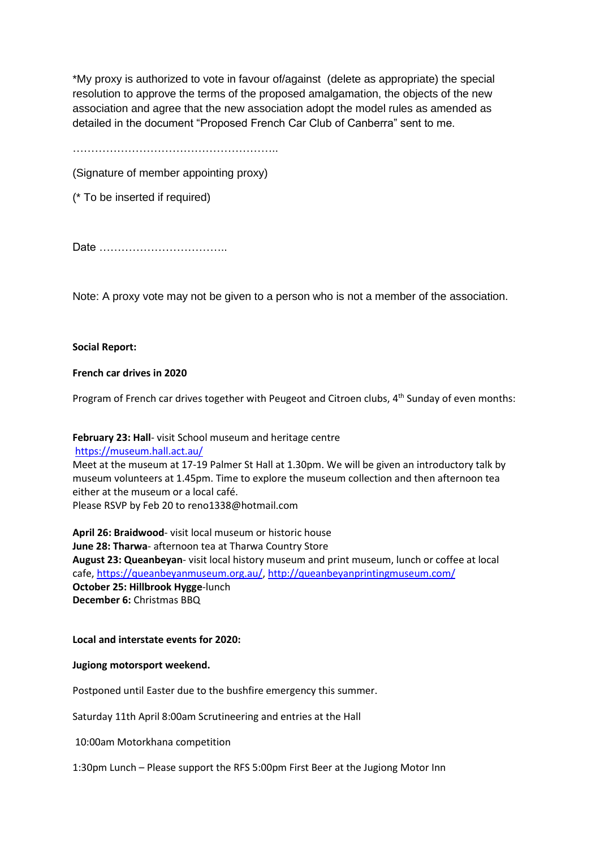\*My proxy is authorized to vote in favour of/against (delete as appropriate) the special resolution to approve the terms of the proposed amalgamation, the objects of the new association and agree that the new association adopt the model rules as amended as detailed in the document "Proposed French Car Club of Canberra" sent to me.

………………………………………………..

(Signature of member appointing proxy)

(\* To be inserted if required)

Date ……………………………..

Note: A proxy vote may not be given to a person who is not a member of the association.

#### **Social Report:**

### **French car drives in 2020**

Program of French car drives together with Peugeot and Citroen clubs, 4<sup>th</sup> Sunday of even months:

**February 23: Hall**- visit School museum and heritage centre <https://museum.hall.act.au/> Meet at the museum at 17-19 Palmer St Hall at 1.30pm. We will be given an introductory talk by museum volunteers at 1.45pm. Time to explore the museum collection and then afternoon tea either at the museum or a local café. Please RSVP by Feb 20 to reno1338@hotmail.com

**April 26: Braidwood**- visit local museum or historic house **June 28: Tharwa**- afternoon tea at Tharwa Country Store **August 23: Queanbeyan**- visit local history museum and print museum, lunch or coffee at local cafe, [https://queanbeyanmuseum.org.au/,](https://queanbeyanmuseum.org.au/) <http://queanbeyanprintingmuseum.com/> **October 25: Hillbrook Hygge**-lunch **December 6:** Christmas BBQ

#### **Local and interstate events for 2020:**

#### **Jugiong motorsport weekend.**

Postponed until Easter due to the bushfire emergency this summer.

Saturday 11th April 8:00am Scrutineering and entries at the Hall

10:00am Motorkhana competition

1:30pm Lunch – Please support the RFS 5:00pm First Beer at the Jugiong Motor Inn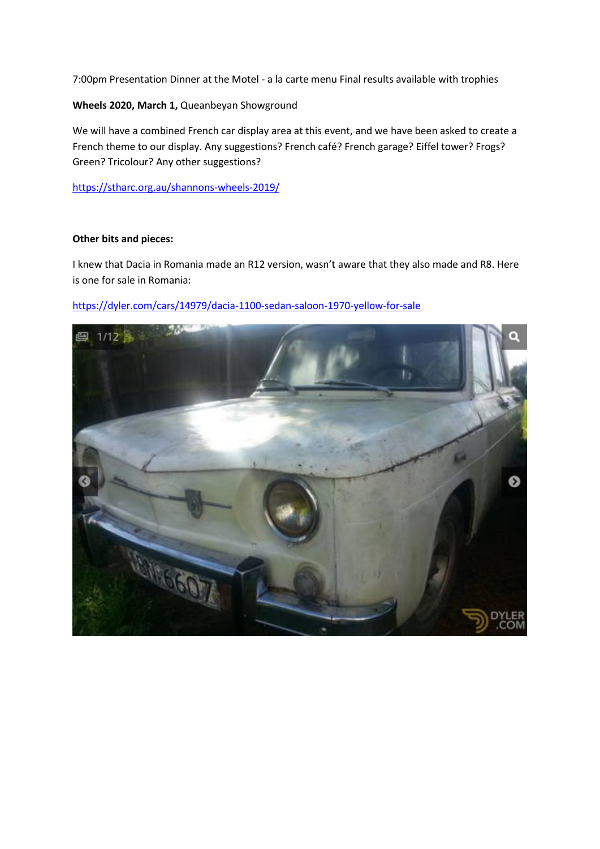7:00pm Presentation Dinner at the Motel - a la carte menu Final results available with trophies

## **Wheels 2020, March 1,** Queanbeyan Showground

We will have a combined French car display area at this event, and we have been asked to create a French theme to our display. Any suggestions? French café? French garage? Eiffel tower? Frogs? Green? Tricolour? Any other suggestions?

<https://stharc.org.au/shannons-wheels-2019/>

#### **Other bits and pieces:**

I knew that Dacia in Romania made an R12 version, wasn't aware that they also made and R8. Here is one for sale in Romania:

<https://dyler.com/cars/14979/dacia-1100-sedan-saloon-1970-yellow-for-sale>